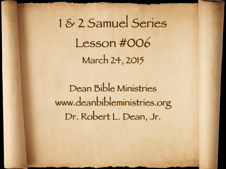1 & 2 Samuel Series Lesson #006 March 24, 2015

Dean Bible Ministries [www.deanbibleministries.org](http://www.deanbible.org) [Dr. Robert L. Dean, Jr.](http://www.deanbible.org)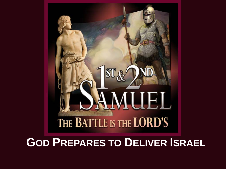

## **GOD PREPARES TO DELIVER ISRAEL**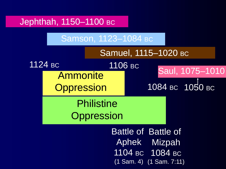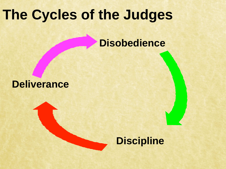# **The Cycles of the Judges**

### **Disobedience**

#### **Deliverance**

## **Discipline**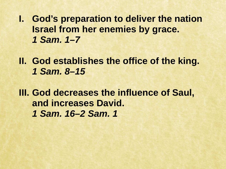**I. God's preparation to deliver the nation Israel from her enemies by grace.** *1 Sam. 1–7*

**II. God establishes the office of the king.** *1 Sam. 8–15*

**III. God decreases the influence of Saul, and increases David.**  *1 Sam. 16–2 Sam. 1*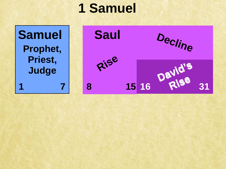## **1 Samuel**

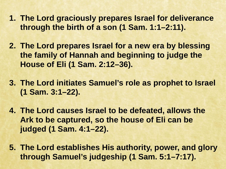- **1. The Lord graciously prepares Israel for deliverance through the birth of a son (1 Sam. 1:1–2:11).**
- **2. The Lord prepares Israel for a new era by blessing the family of Hannah and beginning to judge the House of Eli (1 Sam. 2:12–36).**
- **3. The Lord initiates Samuel's role as prophet to Israel (1 Sam. 3:1–22).**
- **4. The Lord causes Israel to be defeated, allows the Ark to be captured, so the house of Eli can be judged (1 Sam. 4:1–22).**
- **5. The Lord establishes His authority, power, and glory through Samuel's judgeship (1 Sam. 5:1–7:17).**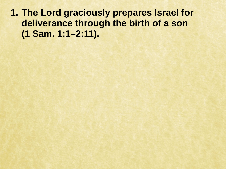**1. The Lord graciously prepares Israel for deliverance through the birth of a son (1 Sam. 1:1–2:11).**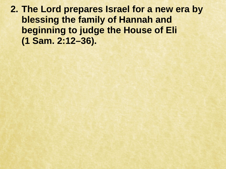**2. The Lord prepares Israel for a new era by blessing the family of Hannah and beginning to judge the House of Eli (1 Sam. 2:12–36).**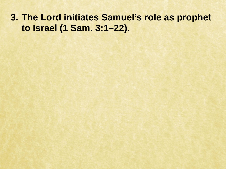#### **3. The Lord initiates Samuel's role as prophet to Israel (1 Sam. 3:1–22).**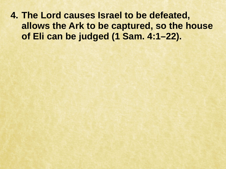**4. The Lord causes Israel to be defeated, allows the Ark to be captured, so the house of Eli can be judged (1 Sam. 4:1–22).**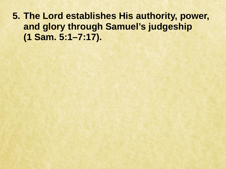**5. The Lord establishes His authority, power, and glory through Samuel's judgeship (1 Sam. 5:1–7:17).**